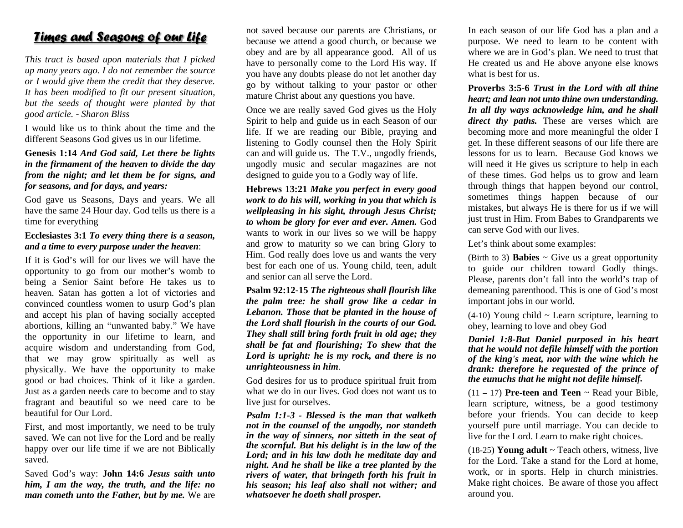## <u>Times and Seasons of our life</u>

*This tract is based upon m materials that I p picked up many y years ago. I do n oot remember the ssource dianglerightarightarightarightarightarightarightarightarightarightarightarightarightarightarightarightarightarightarightarightarightarightarightarightarightarightarightarightarightarightarightarightarightarightarightarigh* It has been modified to fit our present situation, *but the se eeds of thought were planted b y y that good artic cle. - Sharon Blisss*

I would like us to think about the time and the different Seasons God gives us in our lifetime.

## **Genesis 1 :14** *And God s a aid, Let there be lights in the firm mament of the he eaven to divide th he day from the night; and let them be for signs, and for seaso nns, and for days, aand years:*

God gave us Seasons, Days and years. We all have the same 24 Hour day. God tells us there is a time for everything

## **Ecclesiastes 3:1** *To every thing there is a season, and a time to every purpose under the heaven:*

If it is God's will for our lives we will have the opportunity to go from our mother's womb to being a Senior Saint before He takes us to heaven. Satan has gotten a lot of victoriees and convinced countless women to usurp God's plan and accept his plan of having socially accepted abortions, killing an "unwanted baby." We have the opportunity in our lifetime to learn, and acquire wisdom and understanding from God, that we may grow spiritually as well as physicall y y. We have the opportunity to make good or bad choices. Think of it like a garden. Just as a garden needs care to become and to stay fragrant a and beautiful so we need care to be beautiful for Our Lord.

First, and most importantly, we need to be truly saved. We can not live for the Lord and be really happy over our life time if we are not Biblically saved.

Saved Go d's way: **John 1 14:6***Jesus saithh unto him, I a mm the way, the tr ruth, and the lif fe: no man cometh unto the Father, but by me.* We are not saved because our parents are Christians, or because we attend a good church, or because we obey and are by all appearance good. All of us have to personally come to the Lord His way. If you have any doubts please do not let another day go by without talking to your pastor or other mature Christ about any questions you have.

Once we are really saved God gives us the Holy Spirit to help and guide us in each Season of our life. If we are reading our Bible, praying and listening to Godly counsel then the Holy Spirit ca n n and will guide u us. The T.V., u n ngodly friends, ungodly music and secular magazines are not designed to guide you to a Godly way of life.

**He ebrews 13:21** *Ma Make you perfect in every good woork to do his will, l, working in yo uu that which is weellpleasing in his s sight, through Jesus Christ; to whom be glory f for ever and ever r. Amen.* God wants to work in our lives so we will be happy and grow to maturity so we can bring Glory to Him. God really does love us and wants the very best for each one of us. Young child, teen, adult and senior can all serve the Lord.

**Ps salm 92:12-15** *Th he righteous shal ll flourish like the e palm tree: he e shall grow lik ke a cedar in Le ebanon. Those th hat be planted i n n the house of thee Lord shall flo uurish in the courtts of our God. Thhey shall still bri nng forth fruit in old age; they shall be fat and f flourishing; To s shew that the Lo ord is upright: h e is my rock, a nnd there is no u n nrighteousness i n n him*.

God desires for us to produce spiritual fruit from what we do in our lives. God does not want us to live just for ourselves.

*Pssalm 1:1-3 - Blesssed is the man that walketh n o ot in the counsel l of the ungodly, nor standeth in the way of sinners, nor sitteth in the seat of the Loord; and in his l law doth he medditate day and nig ght. And he shal ll be like a tree p planted by the rivvers of water, th hat bringeth forth th his fruit in*  his season; his leaf also shall not wither; and *whhatsoever he doet th shall prosper. e scornful. But h his delight is in t the law of the*  In each season of our life God has a plan and a purpose. We need to learn to be content with where we are in God's plan. We need to trust that He created us and He above anyone else knows what is best for us.

**Proverbs 33:5-6** *Trust in thhe Lord with all thine heart; and lean not unto thine own understanding.* In all thy ways acknowledge him, and he shall *direct thy paths.* These are verses which are becoming more and more meaningful the older I get. In these different seasons of our life there are lessons for us to learn. Because God knows we will need it He gives us scripture to help in each of these ti m mes. God helps us to grow and learn through thi ings that happe n n beyond our c o ntrol, sometimes things happe n n because of our mistakes, but always He is there for us if we will just trust in Him. From Babes to Grandparents we can serve God with our lives.

Let's think about some examples:

(Birth to 3) **Babies**  $\sim$  Give us a great opportunity to guide our children toward Godly things. Please, parents don't fall into the world's trap of demeaning parenthood. This s is one of God's most important jobs in our world.

(4-10) You nng child ~ Lear n.n scripture, learni ng to obey, learning to love and obey God

*Daniel 1:88-But Daniel p uurposed in his heart that he wo u uld not defile hi m mself with the p o ortion of the king's meat, nor with the wine which he drank: therefore he requested of the prince of the eunuc h hs that he might n not defile himself f.* 

 $(11 - 17)$  **Pre-teen and Teen**  $\sim$  Read your Bible, learn scripture, witness, be a good testimony before yo u ur friends. You can decide to keep yourself pure until marriage. You can decide to live for the Lord. Learn to make right choices.

 $(18-25)$  Young adult  $\sim$  Teach others, witness, live for the Lord. Take a stand for the Lord at home, work, or in sports. Help in church ministries. Make right choices. Be aware of those you affect around you.